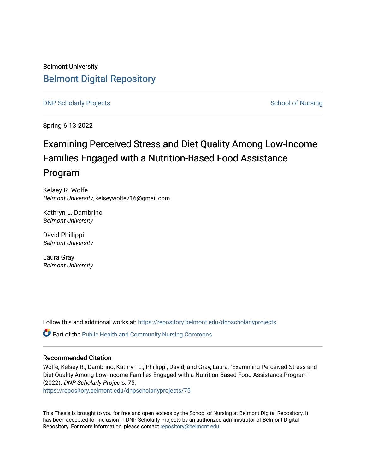Belmont University [Belmont Digital Repository](https://repository.belmont.edu/)

**DNP Scholarly Projects** [School of Nursing](https://repository.belmont.edu/nursing) School of Nursing School of Nursing School of Nursing School of Nursing School of Nursing School of Nursing School of Nursing School of Nursing School of Nursing School of Nursing

Spring 6-13-2022

# Examining Perceived Stress and Diet Quality Among Low-Income Families Engaged with a Nutrition-Based Food Assistance Program

Kelsey R. Wolfe Belmont University, kelseywolfe716@gmail.com

Kathryn L. Dambrino Belmont University

David Phillippi Belmont University

Laura Gray Belmont University

Follow this and additional works at: [https://repository.belmont.edu/dnpscholarlyprojects](https://repository.belmont.edu/dnpscholarlyprojects?utm_source=repository.belmont.edu%2Fdnpscholarlyprojects%2F75&utm_medium=PDF&utm_campaign=PDFCoverPages)

**Part of the Public Health and Community Nursing Commons** 

#### Recommended Citation

Wolfe, Kelsey R.; Dambrino, Kathryn L.; Phillippi, David; and Gray, Laura, "Examining Perceived Stress and Diet Quality Among Low-Income Families Engaged with a Nutrition-Based Food Assistance Program" (2022). DNP Scholarly Projects. 75.

[https://repository.belmont.edu/dnpscholarlyprojects/75](https://repository.belmont.edu/dnpscholarlyprojects/75?utm_source=repository.belmont.edu%2Fdnpscholarlyprojects%2F75&utm_medium=PDF&utm_campaign=PDFCoverPages) 

This Thesis is brought to you for free and open access by the School of Nursing at Belmont Digital Repository. It has been accepted for inclusion in DNP Scholarly Projects by an authorized administrator of Belmont Digital Repository. For more information, please contact [repository@belmont.edu.](mailto:repository@belmont.edu)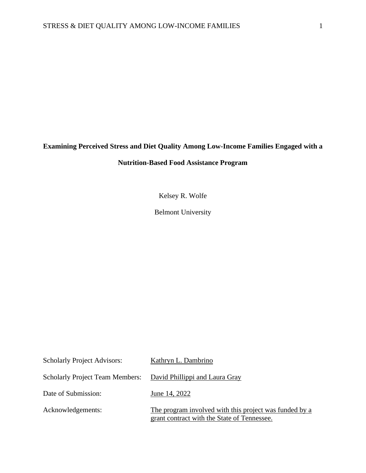## **Examining Perceived Stress and Diet Quality Among Low-Income Families Engaged with a**

## **Nutrition-Based Food Assistance Program**

Kelsey R. Wolfe

Belmont University

| <b>Scholarly Project Advisors:</b>                             | Kathryn L. Dambrino                                                                                   |
|----------------------------------------------------------------|-------------------------------------------------------------------------------------------------------|
| Scholarly Project Team Members: David Phillippi and Laura Gray |                                                                                                       |
| Date of Submission:                                            | June 14, 2022                                                                                         |
| Acknowledgements:                                              | The program involved with this project was funded by a<br>grant contract with the State of Tennessee. |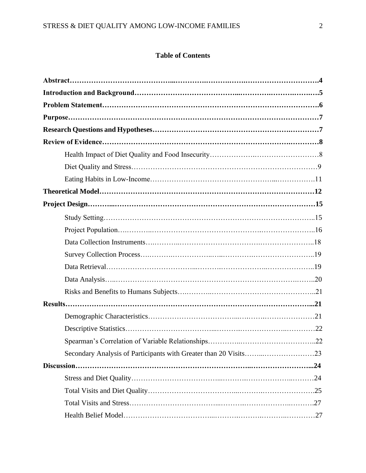## **Table of Contents**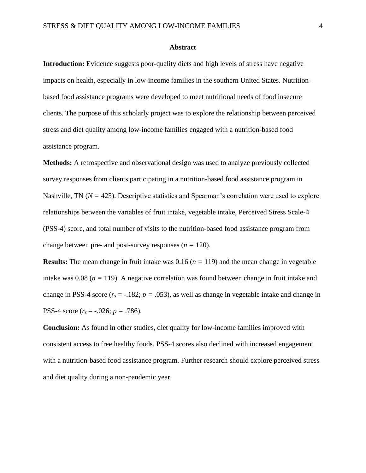#### **Abstract**

**Introduction:** Evidence suggests poor-quality diets and high levels of stress have negative impacts on health, especially in low-income families in the southern United States. Nutritionbased food assistance programs were developed to meet nutritional needs of food insecure clients. The purpose of this scholarly project was to explore the relationship between perceived stress and diet quality among low-income families engaged with a nutrition-based food assistance program.

**Methods:** A retrospective and observational design was used to analyze previously collected survey responses from clients participating in a nutrition-based food assistance program in Nashville, TN ( $N = 425$ ). Descriptive statistics and Spearman's correlation were used to explore relationships between the variables of fruit intake, vegetable intake, Perceived Stress Scale-4 (PSS-4) score, and total number of visits to the nutrition-based food assistance program from change between pre- and post-survey responses  $(n = 120)$ .

**Results:** The mean change in fruit intake was 0.16 (*n =* 119) and the mean change in vegetable intake was  $0.08$  ( $n = 119$ ). A negative correlation was found between change in fruit intake and change in PSS-4 score  $(r<sub>s</sub> = -.182; p = .053)$ , as well as change in vegetable intake and change in PSS-4 score (*r<sup>s</sup>* = -.026; *p =* .786).

**Conclusion:** As found in other studies, diet quality for low-income families improved with consistent access to free healthy foods. PSS-4 scores also declined with increased engagement with a nutrition-based food assistance program. Further research should explore perceived stress and diet quality during a non-pandemic year.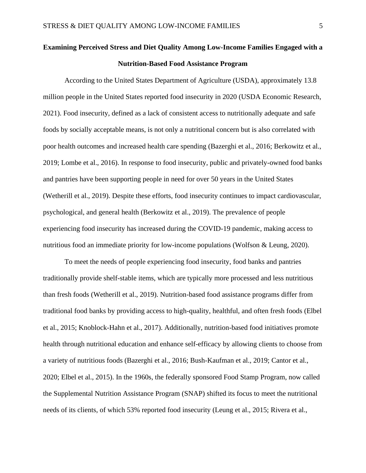## **Examining Perceived Stress and Diet Quality Among Low-Income Families Engaged with a Nutrition-Based Food Assistance Program**

According to the United States Department of Agriculture (USDA), approximately 13.8 million people in the United States reported food insecurity in 2020 (USDA Economic Research, 2021). Food insecurity, defined as a lack of consistent access to nutritionally adequate and safe foods by socially acceptable means, is not only a nutritional concern but is also correlated with poor health outcomes and increased health care spending (Bazerghi et al., 2016; Berkowitz et al., 2019; Lombe et al., 2016). In response to food insecurity, public and privately-owned food banks and pantries have been supporting people in need for over 50 years in the United States (Wetherill et al., 2019). Despite these efforts, food insecurity continues to impact cardiovascular, psychological, and general health (Berkowitz et al., 2019). The prevalence of people experiencing food insecurity has increased during the COVID-19 pandemic, making access to nutritious food an immediate priority for low-income populations (Wolfson & Leung, 2020).

To meet the needs of people experiencing food insecurity, food banks and pantries traditionally provide shelf-stable items, which are typically more processed and less nutritious than fresh foods (Wetherill et al., 2019). Nutrition-based food assistance programs differ from traditional food banks by providing access to high-quality, healthful, and often fresh foods (Elbel et al., 2015; Knoblock-Hahn et al., 2017). Additionally, nutrition-based food initiatives promote health through nutritional education and enhance self-efficacy by allowing clients to choose from a variety of nutritious foods (Bazerghi et al., 2016; Bush-Kaufman et al., 2019; Cantor et al., 2020; Elbel et al., 2015). In the 1960s, the federally sponsored Food Stamp Program, now called the Supplemental Nutrition Assistance Program (SNAP) shifted its focus to meet the nutritional needs of its clients, of which 53% reported food insecurity (Leung et al., 2015; Rivera et al.,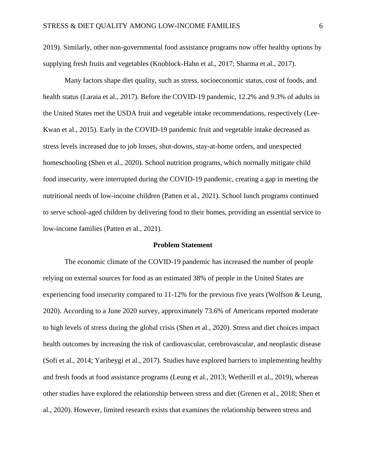2019). Similarly, other non-governmental food assistance programs now offer healthy options by supplying fresh fruits and vegetables (Knoblock-Hahn et al., 2017; Sharma et al., 2017).

Many factors shape diet quality, such as stress, socioeconomic status, cost of foods, and health status (Laraia et al., 2017). Before the COVID-19 pandemic, 12.2% and 9.3% of adults in the United States met the USDA fruit and vegetable intake recommendations, respectively (Lee-Kwan et al., 2015). Early in the COVID-19 pandemic fruit and vegetable intake decreased as stress levels increased due to job losses, shut-downs, stay-at-home orders, and unexpected homeschooling (Shen et al., 2020). School nutrition programs, which normally mitigate child food insecurity, were interrupted during the COVID-19 pandemic, creating a gap in meeting the nutritional needs of low-income children (Patten et al., 2021). School lunch programs continued to serve school-aged children by delivering food to their homes, providing an essential service to low-income families (Patten et al., 2021).

#### **Problem Statement**

The economic climate of the COVID-19 pandemic has increased the number of people relying on external sources for food as an estimated 38% of people in the United States are experiencing food insecurity compared to 11-12% for the previous five years (Wolfson & Leung, 2020). According to a June 2020 survey, approximately 73.6% of Americans reported moderate to high levels of stress during the global crisis (Shen et al., 2020). Stress and diet choices impact health outcomes by increasing the risk of cardiovascular, cerebrovascular, and neoplastic disease (Sofi et al., 2014; Yaribeygi et al., 2017). Studies have explored barriers to implementing healthy and fresh foods at food assistance programs (Leung et al., 2013; Wetherill et al., 2019), whereas other studies have explored the relationship between stress and diet (Grenen et al., 2018; Shen et al., 2020). However, limited research exists that examines the relationship between stress and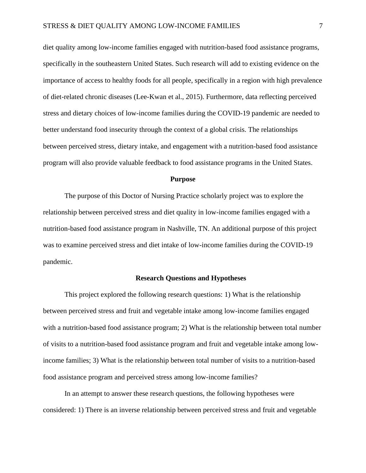diet quality among low-income families engaged with nutrition-based food assistance programs, specifically in the southeastern United States. Such research will add to existing evidence on the importance of access to healthy foods for all people, specifically in a region with high prevalence of diet-related chronic diseases (Lee-Kwan et al., 2015). Furthermore, data reflecting perceived stress and dietary choices of low-income families during the COVID-19 pandemic are needed to better understand food insecurity through the context of a global crisis. The relationships between perceived stress, dietary intake, and engagement with a nutrition-based food assistance program will also provide valuable feedback to food assistance programs in the United States.

#### **Purpose**

The purpose of this Doctor of Nursing Practice scholarly project was to explore the relationship between perceived stress and diet quality in low-income families engaged with a nutrition-based food assistance program in Nashville, TN. An additional purpose of this project was to examine perceived stress and diet intake of low-income families during the COVID-19 pandemic.

#### **Research Questions and Hypotheses**

This project explored the following research questions: 1) What is the relationship between perceived stress and fruit and vegetable intake among low-income families engaged with a nutrition-based food assistance program; 2) What is the relationship between total number of visits to a nutrition-based food assistance program and fruit and vegetable intake among lowincome families; 3) What is the relationship between total number of visits to a nutrition-based food assistance program and perceived stress among low-income families?

In an attempt to answer these research questions, the following hypotheses were considered: 1) There is an inverse relationship between perceived stress and fruit and vegetable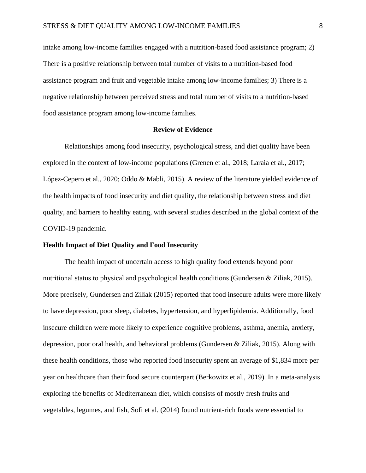intake among low-income families engaged with a nutrition-based food assistance program; 2) There is a positive relationship between total number of visits to a nutrition-based food assistance program and fruit and vegetable intake among low-income families; 3) There is a negative relationship between perceived stress and total number of visits to a nutrition-based food assistance program among low-income families.

#### **Review of Evidence**

Relationships among food insecurity, psychological stress, and diet quality have been explored in the context of low-income populations (Grenen et al., 2018; Laraia et al., 2017; López-Cepero et al., 2020; Oddo & Mabli, 2015). A review of the literature yielded evidence of the health impacts of food insecurity and diet quality, the relationship between stress and diet quality, and barriers to healthy eating, with several studies described in the global context of the COVID-19 pandemic.

#### **Health Impact of Diet Quality and Food Insecurity**

The health impact of uncertain access to high quality food extends beyond poor nutritional status to physical and psychological health conditions (Gundersen & Ziliak, 2015). More precisely, Gundersen and Ziliak (2015) reported that food insecure adults were more likely to have depression, poor sleep, diabetes, hypertension, and hyperlipidemia. Additionally, food insecure children were more likely to experience cognitive problems, asthma, anemia, anxiety, depression, poor oral health, and behavioral problems (Gundersen & Ziliak, 2015). Along with these health conditions, those who reported food insecurity spent an average of \$1,834 more per year on healthcare than their food secure counterpart (Berkowitz et al., 2019). In a meta-analysis exploring the benefits of Mediterranean diet, which consists of mostly fresh fruits and vegetables, legumes, and fish, Sofi et al. (2014) found nutrient-rich foods were essential to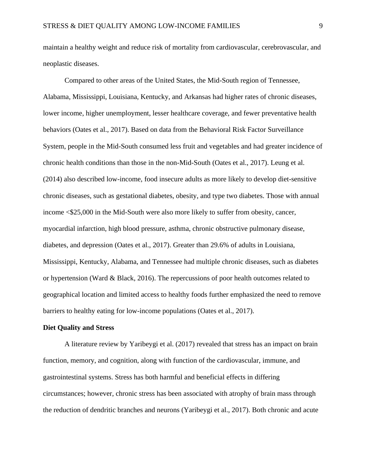maintain a healthy weight and reduce risk of mortality from cardiovascular, cerebrovascular, and neoplastic diseases.

Compared to other areas of the United States, the Mid-South region of Tennessee, Alabama, Mississippi, Louisiana, Kentucky, and Arkansas had higher rates of chronic diseases, lower income, higher unemployment, lesser healthcare coverage, and fewer preventative health behaviors (Oates et al., 2017). Based on data from the Behavioral Risk Factor Surveillance System, people in the Mid-South consumed less fruit and vegetables and had greater incidence of chronic health conditions than those in the non-Mid-South (Oates et al., 2017). Leung et al. (2014) also described low-income, food insecure adults as more likely to develop diet-sensitive chronic diseases, such as gestational diabetes, obesity, and type two diabetes. Those with annual income <\$25,000 in the Mid-South were also more likely to suffer from obesity, cancer, myocardial infarction, high blood pressure, asthma, chronic obstructive pulmonary disease, diabetes, and depression (Oates et al., 2017). Greater than 29.6% of adults in Louisiana, Mississippi, Kentucky, Alabama, and Tennessee had multiple chronic diseases, such as diabetes or hypertension (Ward & Black, 2016). The repercussions of poor health outcomes related to geographical location and limited access to healthy foods further emphasized the need to remove barriers to healthy eating for low-income populations (Oates et al., 2017).

#### **Diet Quality and Stress**

A literature review by Yaribeygi et al. (2017) revealed that stress has an impact on brain function, memory, and cognition, along with function of the cardiovascular, immune, and gastrointestinal systems. Stress has both harmful and beneficial effects in differing circumstances; however, chronic stress has been associated with atrophy of brain mass through the reduction of dendritic branches and neurons (Yaribeygi et al., 2017). Both chronic and acute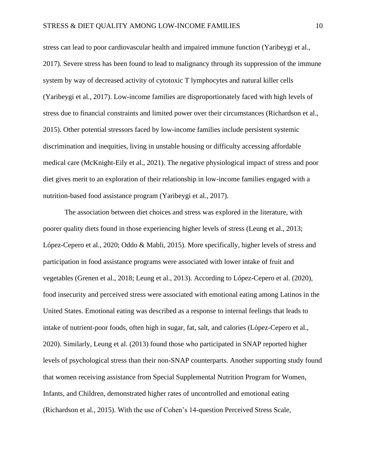stress can lead to poor cardiovascular health and impaired immune function (Yaribeygi et al., 2017). Severe stress has been found to lead to malignancy through its suppression of the immune system by way of decreased activity of cytotoxic T lymphocytes and natural killer cells (Yaribeygi et al., 2017). Low-income families are disproportionately faced with high levels of stress due to financial constraints and limited power over their circumstances (Richardson et al., 2015). Other potential stressors faced by low-income families include persistent systemic discrimination and inequities, living in unstable housing or difficulty accessing affordable medical care (McKnight-Eily et al., 2021). The negative physiological impact of stress and poor diet gives merit to an exploration of their relationship in low-income families engaged with a nutrition-based food assistance program (Yaribeygi et al., 2017).

The association between diet choices and stress was explored in the literature, with poorer quality diets found in those experiencing higher levels of stress (Leung et al., 2013; López-Cepero et al., 2020; Oddo & Mabli, 2015). More specifically, higher levels of stress and participation in food assistance programs were associated with lower intake of fruit and vegetables (Grenen et al., 2018; Leung et al., 2013). According to López-Cepero et al. (2020), food insecurity and perceived stress were associated with emotional eating among Latinos in the United States. Emotional eating was described as a response to internal feelings that leads to intake of nutrient-poor foods, often high in sugar, fat, salt, and calories (López-Cepero et al., 2020). Similarly, Leung et al. (2013) found those who participated in SNAP reported higher levels of psychological stress than their non-SNAP counterparts. Another supporting study found that women receiving assistance from Special Supplemental Nutrition Program for Women, Infants, and Children, demonstrated higher rates of uncontrolled and emotional eating (Richardson et al., 2015). With the use of Cohen's 14-question Perceived Stress Scale,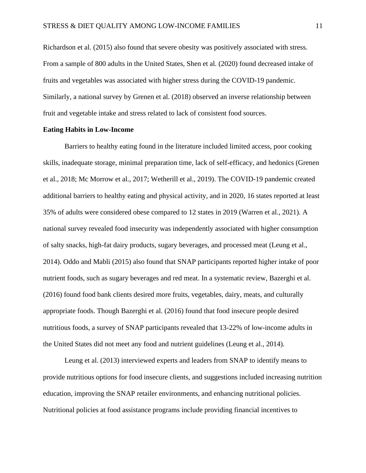Richardson et al. (2015) also found that severe obesity was positively associated with stress. From a sample of 800 adults in the United States, Shen et al. (2020) found decreased intake of fruits and vegetables was associated with higher stress during the COVID-19 pandemic. Similarly, a national survey by Grenen et al. (2018) observed an inverse relationship between fruit and vegetable intake and stress related to lack of consistent food sources.

#### **Eating Habits in Low-Income**

Barriers to healthy eating found in the literature included limited access, poor cooking skills, inadequate storage, minimal preparation time, lack of self-efficacy, and hedonics (Grenen et al., 2018; Mc Morrow et al., 2017; Wetherill et al., 2019). The COVID-19 pandemic created additional barriers to healthy eating and physical activity, and in 2020, 16 states reported at least 35% of adults were considered obese compared to 12 states in 2019 (Warren et al., 2021). A national survey revealed food insecurity was independently associated with higher consumption of salty snacks, high-fat dairy products, sugary beverages, and processed meat (Leung et al., 2014). Oddo and Mabli (2015) also found that SNAP participants reported higher intake of poor nutrient foods, such as sugary beverages and red meat. In a systematic review, Bazerghi et al. (2016) found food bank clients desired more fruits, vegetables, dairy, meats, and culturally appropriate foods. Though Bazerghi et al. (2016) found that food insecure people desired nutritious foods, a survey of SNAP participants revealed that 13-22% of low-income adults in the United States did not meet any food and nutrient guidelines (Leung et al., 2014).

Leung et al. (2013) interviewed experts and leaders from SNAP to identify means to provide nutritious options for food insecure clients, and suggestions included increasing nutrition education, improving the SNAP retailer environments, and enhancing nutritional policies. Nutritional policies at food assistance programs include providing financial incentives to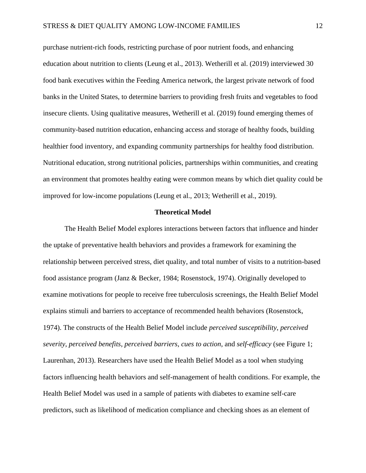purchase nutrient-rich foods, restricting purchase of poor nutrient foods, and enhancing education about nutrition to clients (Leung et al., 2013). Wetherill et al. (2019) interviewed 30 food bank executives within the Feeding America network, the largest private network of food banks in the United States, to determine barriers to providing fresh fruits and vegetables to food insecure clients. Using qualitative measures, Wetherill et al. (2019) found emerging themes of community-based nutrition education, enhancing access and storage of healthy foods, building healthier food inventory, and expanding community partnerships for healthy food distribution. Nutritional education, strong nutritional policies, partnerships within communities, and creating an environment that promotes healthy eating were common means by which diet quality could be improved for low-income populations (Leung et al., 2013; Wetherill et al., 2019).

#### **Theoretical Model**

The Health Belief Model explores interactions between factors that influence and hinder the uptake of preventative health behaviors and provides a framework for examining the relationship between perceived stress, diet quality, and total number of visits to a nutrition-based food assistance program (Janz & Becker, 1984; Rosenstock, 1974). Originally developed to examine motivations for people to receive free tuberculosis screenings, the Health Belief Model explains stimuli and barriers to acceptance of recommended health behaviors (Rosenstock, 1974). The constructs of the Health Belief Model include *perceived susceptibility*, *perceived severity*, *perceived benefits*, *perceived barriers*, *cues to action*, and *self-efficacy* (see Figure 1; Laurenhan, 2013). Researchers have used the Health Belief Model as a tool when studying factors influencing health behaviors and self-management of health conditions. For example, the Health Belief Model was used in a sample of patients with diabetes to examine self-care predictors, such as likelihood of medication compliance and checking shoes as an element of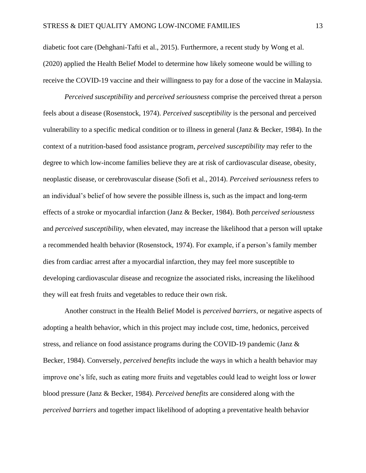diabetic foot care (Dehghani-Tafti et al., 2015). Furthermore, a recent study by Wong et al. (2020) applied the Health Belief Model to determine how likely someone would be willing to receive the COVID-19 vaccine and their willingness to pay for a dose of the vaccine in Malaysia.

*Perceived susceptibility* and *perceived seriousness* comprise the perceived threat a person feels about a disease (Rosenstock, 1974). *Perceived susceptibility* is the personal and perceived vulnerability to a specific medical condition or to illness in general (Janz & Becker, 1984). In the context of a nutrition-based food assistance program, *perceived susceptibility* may refer to the degree to which low-income families believe they are at risk of cardiovascular disease, obesity, neoplastic disease, or cerebrovascular disease (Sofi et al., 2014). *Perceived seriousness* refers to an individual's belief of how severe the possible illness is, such as the impact and long-term effects of a stroke or myocardial infarction (Janz & Becker, 1984). Both *perceived seriousness* and *perceived susceptibility*, when elevated, may increase the likelihood that a person will uptake a recommended health behavior (Rosenstock, 1974). For example, if a person's family member dies from cardiac arrest after a myocardial infarction, they may feel more susceptible to developing cardiovascular disease and recognize the associated risks, increasing the likelihood they will eat fresh fruits and vegetables to reduce their own risk.

Another construct in the Health Belief Model is *perceived barriers*, or negative aspects of adopting a health behavior, which in this project may include cost, time, hedonics, perceived stress, and reliance on food assistance programs during the COVID-19 pandemic (Janz & Becker, 1984). Conversely, *perceived benefits* include the ways in which a health behavior may improve one's life, such as eating more fruits and vegetables could lead to weight loss or lower blood pressure (Janz & Becker, 1984). *Perceived benefits* are considered along with the *perceived barriers* and together impact likelihood of adopting a preventative health behavior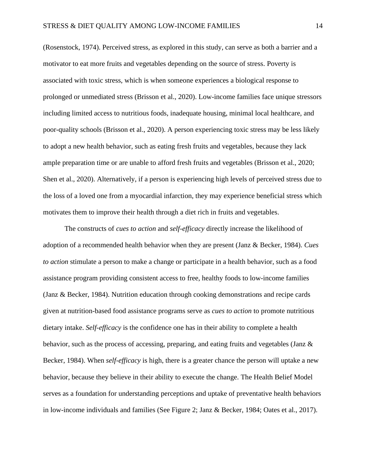(Rosenstock, 1974). Perceived stress, as explored in this study, can serve as both a barrier and a motivator to eat more fruits and vegetables depending on the source of stress. Poverty is associated with toxic stress, which is when someone experiences a biological response to prolonged or unmediated stress (Brisson et al., 2020). Low-income families face unique stressors including limited access to nutritious foods, inadequate housing, minimal local healthcare, and poor-quality schools (Brisson et al., 2020). A person experiencing toxic stress may be less likely to adopt a new health behavior, such as eating fresh fruits and vegetables, because they lack ample preparation time or are unable to afford fresh fruits and vegetables (Brisson et al., 2020; Shen et al., 2020). Alternatively, if a person is experiencing high levels of perceived stress due to the loss of a loved one from a myocardial infarction, they may experience beneficial stress which motivates them to improve their health through a diet rich in fruits and vegetables.

The constructs of *cues to action* and *self-efficacy* directly increase the likelihood of adoption of a recommended health behavior when they are present (Janz & Becker, 1984). *Cues to action* stimulate a person to make a change or participate in a health behavior, such as a food assistance program providing consistent access to free, healthy foods to low-income families (Janz & Becker, 1984). Nutrition education through cooking demonstrations and recipe cards given at nutrition-based food assistance programs serve as *cues to action* to promote nutritious dietary intake. *Self-efficacy* is the confidence one has in their ability to complete a health behavior, such as the process of accessing, preparing, and eating fruits and vegetables (Janz & Becker, 1984). When *self-efficacy* is high, there is a greater chance the person will uptake a new behavior, because they believe in their ability to execute the change. The Health Belief Model serves as a foundation for understanding perceptions and uptake of preventative health behaviors in low-income individuals and families (See Figure 2; Janz & Becker, 1984; Oates et al., 2017).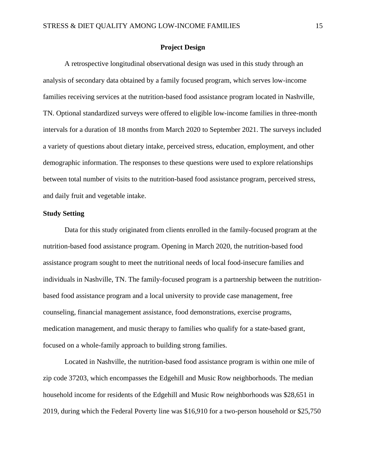#### **Project Design**

A retrospective longitudinal observational design was used in this study through an analysis of secondary data obtained by a family focused program, which serves low-income families receiving services at the nutrition-based food assistance program located in Nashville, TN. Optional standardized surveys were offered to eligible low-income families in three-month intervals for a duration of 18 months from March 2020 to September 2021. The surveys included a variety of questions about dietary intake, perceived stress, education, employment, and other demographic information. The responses to these questions were used to explore relationships between total number of visits to the nutrition-based food assistance program, perceived stress, and daily fruit and vegetable intake.

#### **Study Setting**

Data for this study originated from clients enrolled in the family-focused program at the nutrition-based food assistance program. Opening in March 2020, the nutrition-based food assistance program sought to meet the nutritional needs of local food-insecure families and individuals in Nashville, TN. The family-focused program is a partnership between the nutritionbased food assistance program and a local university to provide case management, free counseling, financial management assistance, food demonstrations, exercise programs, medication management, and music therapy to families who qualify for a state-based grant, focused on a whole-family approach to building strong families.

Located in Nashville, the nutrition-based food assistance program is within one mile of zip code 37203, which encompasses the Edgehill and Music Row neighborhoods. The median household income for residents of the Edgehill and Music Row neighborhoods was \$28,651 in 2019, during which the Federal Poverty line was \$16,910 for a two-person household or \$25,750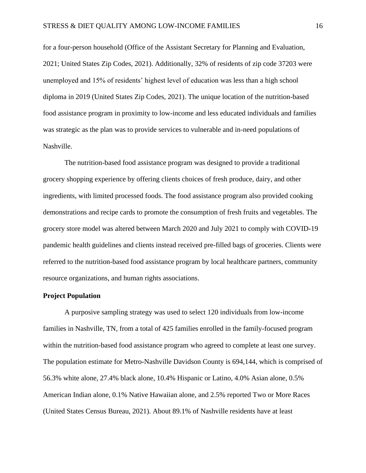for a four-person household (Office of the Assistant Secretary for Planning and Evaluation, 2021; United States Zip Codes, 2021). Additionally, 32% of residents of zip code 37203 were unemployed and 15% of residents' highest level of education was less than a high school diploma in 2019 (United States Zip Codes, 2021). The unique location of the nutrition-based food assistance program in proximity to low-income and less educated individuals and families was strategic as the plan was to provide services to vulnerable and in-need populations of Nashville.

The nutrition-based food assistance program was designed to provide a traditional grocery shopping experience by offering clients choices of fresh produce, dairy, and other ingredients, with limited processed foods. The food assistance program also provided cooking demonstrations and recipe cards to promote the consumption of fresh fruits and vegetables. The grocery store model was altered between March 2020 and July 2021 to comply with COVID-19 pandemic health guidelines and clients instead received pre-filled bags of groceries. Clients were referred to the nutrition-based food assistance program by local healthcare partners, community resource organizations, and human rights associations.

#### **Project Population**

A purposive sampling strategy was used to select 120 individuals from low-income families in Nashville, TN, from a total of 425 families enrolled in the family-focused program within the nutrition-based food assistance program who agreed to complete at least one survey. The population estimate for Metro-Nashville Davidson County is 694,144, which is comprised of 56.3% white alone, 27.4% black alone, 10.4% Hispanic or Latino, 4.0% Asian alone, 0.5% American Indian alone, 0.1% Native Hawaiian alone, and 2.5% reported Two or More Races (United States Census Bureau, 2021). About 89.1% of Nashville residents have at least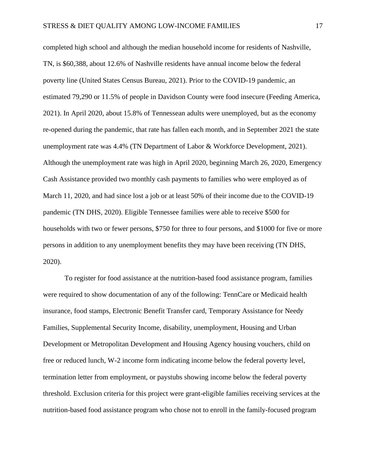completed high school and although the median household income for residents of Nashville, TN, is \$60,388, about 12.6% of Nashville residents have annual income below the federal poverty line (United States Census Bureau, 2021). Prior to the COVID-19 pandemic, an estimated 79,290 or 11.5% of people in Davidson County were food insecure (Feeding America, 2021). In April 2020, about 15.8% of Tennessean adults were unemployed, but as the economy re-opened during the pandemic, that rate has fallen each month, and in September 2021 the state unemployment rate was 4.4% (TN Department of Labor & Workforce Development, 2021). Although the unemployment rate was high in April 2020, beginning March 26, 2020, Emergency Cash Assistance provided two monthly cash payments to families who were employed as of March 11, 2020, and had since lost a job or at least 50% of their income due to the COVID-19 pandemic (TN DHS, 2020). Eligible Tennessee families were able to receive \$500 for households with two or fewer persons, \$750 for three to four persons, and \$1000 for five or more persons in addition to any unemployment benefits they may have been receiving (TN DHS, 2020).

To register for food assistance at the nutrition-based food assistance program, families were required to show documentation of any of the following: TennCare or Medicaid health insurance, food stamps, Electronic Benefit Transfer card, Temporary Assistance for Needy Families, Supplemental Security Income, disability, unemployment, Housing and Urban Development or Metropolitan Development and Housing Agency housing vouchers, child on free or reduced lunch, W-2 income form indicating income below the federal poverty level, termination letter from employment, or paystubs showing income below the federal poverty threshold. Exclusion criteria for this project were grant-eligible families receiving services at the nutrition-based food assistance program who chose not to enroll in the family-focused program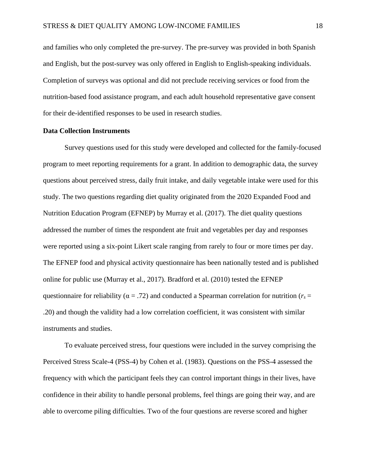and families who only completed the pre-survey. The pre-survey was provided in both Spanish and English, but the post-survey was only offered in English to English-speaking individuals. Completion of surveys was optional and did not preclude receiving services or food from the nutrition-based food assistance program, and each adult household representative gave consent for their de-identified responses to be used in research studies.

#### **Data Collection Instruments**

Survey questions used for this study were developed and collected for the family-focused program to meet reporting requirements for a grant. In addition to demographic data, the survey questions about perceived stress, daily fruit intake, and daily vegetable intake were used for this study. The two questions regarding diet quality originated from the 2020 Expanded Food and Nutrition Education Program (EFNEP) by Murray et al. (2017). The diet quality questions addressed the number of times the respondent ate fruit and vegetables per day and responses were reported using a six-point Likert scale ranging from rarely to four or more times per day. The EFNEP food and physical activity questionnaire has been nationally tested and is published online for public use (Murray et al., 2017). Bradford et al. (2010) tested the EFNEP questionnaire for reliability ( $\alpha = .72$ ) and conducted a Spearman correlation for nutrition ( $r_s =$ .20) and though the validity had a low correlation coefficient, it was consistent with similar instruments and studies.

To evaluate perceived stress, four questions were included in the survey comprising the Perceived Stress Scale-4 (PSS-4) by Cohen et al. (1983). Questions on the PSS-4 assessed the frequency with which the participant feels they can control important things in their lives, have confidence in their ability to handle personal problems, feel things are going their way, and are able to overcome piling difficulties. Two of the four questions are reverse scored and higher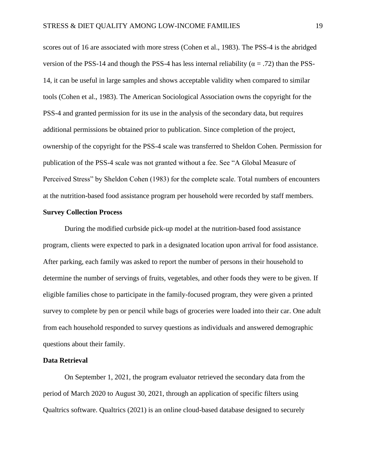scores out of 16 are associated with more stress (Cohen et al., 1983). The PSS-4 is the abridged version of the PSS-14 and though the PSS-4 has less internal reliability ( $\alpha = .72$ ) than the PSS-14, it can be useful in large samples and shows acceptable validity when compared to similar tools (Cohen et al., 1983). The American Sociological Association owns the copyright for the PSS-4 and granted permission for its use in the analysis of the secondary data, but requires additional permissions be obtained prior to publication. Since completion of the project, ownership of the copyright for the PSS-4 scale was transferred to Sheldon Cohen. Permission for publication of the PSS-4 scale was not granted without a fee. See "A Global Measure of Perceived Stress" by Sheldon Cohen (1983) for the complete scale. Total numbers of encounters at the nutrition-based food assistance program per household were recorded by staff members.

#### **Survey Collection Process**

During the modified curbside pick-up model at the nutrition-based food assistance program, clients were expected to park in a designated location upon arrival for food assistance. After parking, each family was asked to report the number of persons in their household to determine the number of servings of fruits, vegetables, and other foods they were to be given. If eligible families chose to participate in the family-focused program, they were given a printed survey to complete by pen or pencil while bags of groceries were loaded into their car. One adult from each household responded to survey questions as individuals and answered demographic questions about their family.

#### **Data Retrieval**

On September 1, 2021, the program evaluator retrieved the secondary data from the period of March 2020 to August 30, 2021, through an application of specific filters using Qualtrics software. Qualtrics (2021) is an online cloud-based database designed to securely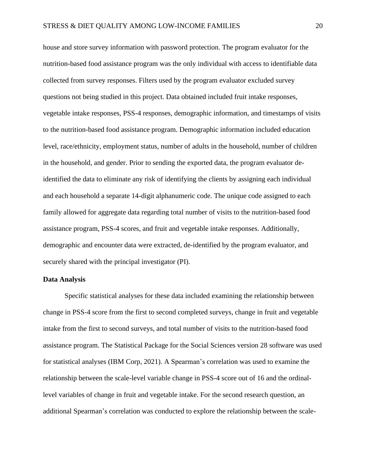house and store survey information with password protection. The program evaluator for the nutrition-based food assistance program was the only individual with access to identifiable data collected from survey responses. Filters used by the program evaluator excluded survey questions not being studied in this project. Data obtained included fruit intake responses, vegetable intake responses, PSS-4 responses, demographic information, and timestamps of visits to the nutrition-based food assistance program. Demographic information included education level, race/ethnicity, employment status, number of adults in the household, number of children in the household, and gender. Prior to sending the exported data, the program evaluator deidentified the data to eliminate any risk of identifying the clients by assigning each individual and each household a separate 14-digit alphanumeric code. The unique code assigned to each family allowed for aggregate data regarding total number of visits to the nutrition-based food assistance program, PSS-4 scores, and fruit and vegetable intake responses. Additionally, demographic and encounter data were extracted, de-identified by the program evaluator, and securely shared with the principal investigator (PI).

#### **Data Analysis**

Specific statistical analyses for these data included examining the relationship between change in PSS-4 score from the first to second completed surveys, change in fruit and vegetable intake from the first to second surveys, and total number of visits to the nutrition-based food assistance program. The Statistical Package for the Social Sciences version 28 software was used for statistical analyses (IBM Corp, 2021). A Spearman's correlation was used to examine the relationship between the scale-level variable change in PSS-4 score out of 16 and the ordinallevel variables of change in fruit and vegetable intake. For the second research question, an additional Spearman's correlation was conducted to explore the relationship between the scale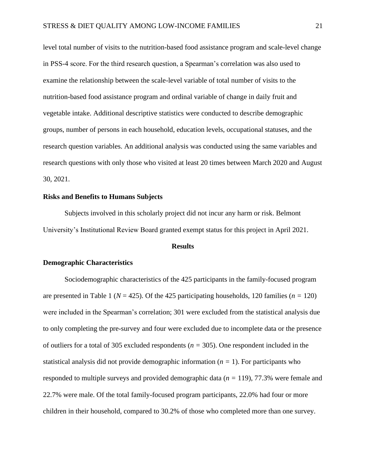level total number of visits to the nutrition-based food assistance program and scale-level change in PSS-4 score. For the third research question, a Spearman's correlation was also used to examine the relationship between the scale-level variable of total number of visits to the nutrition-based food assistance program and ordinal variable of change in daily fruit and vegetable intake. Additional descriptive statistics were conducted to describe demographic groups, number of persons in each household, education levels, occupational statuses, and the research question variables. An additional analysis was conducted using the same variables and research questions with only those who visited at least 20 times between March 2020 and August 30, 2021.

#### **Risks and Benefits to Humans Subjects**

Subjects involved in this scholarly project did not incur any harm or risk. Belmont University's Institutional Review Board granted exempt status for this project in April 2021.

#### **Results**

#### **Demographic Characteristics**

Sociodemographic characteristics of the 425 participants in the family-focused program are presented in Table 1 ( $N = 425$ ). Of the 425 participating households, 120 families ( $n = 120$ ) were included in the Spearman's correlation; 301 were excluded from the statistical analysis due to only completing the pre-survey and four were excluded due to incomplete data or the presence of outliers for a total of 305 excluded respondents (*n =* 305). One respondent included in the statistical analysis did not provide demographic information  $(n = 1)$ . For participants who responded to multiple surveys and provided demographic data (*n =* 119), 77.3% were female and 22.7% were male. Of the total family-focused program participants, 22.0% had four or more children in their household, compared to 30.2% of those who completed more than one survey.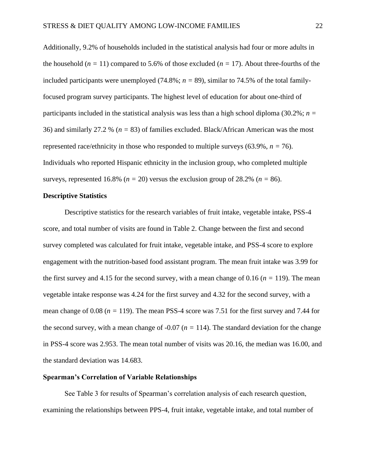Additionally, 9.2% of households included in the statistical analysis had four or more adults in the household ( $n = 11$ ) compared to 5.6% of those excluded ( $n = 17$ ). About three-fourths of the included participants were unemployed  $(74.8\%; n = 89)$ , similar to 74.5% of the total familyfocused program survey participants. The highest level of education for about one-third of participants included in the statistical analysis was less than a high school diploma (30.2%; *n =* 36) and similarly 27.2 % (*n =* 83) of families excluded. Black/African American was the most represented race/ethnicity in those who responded to multiple surveys  $(63.9\%, n = 76)$ . Individuals who reported Hispanic ethnicity in the inclusion group, who completed multiple surveys, represented 16.8% ( $n = 20$ ) versus the exclusion group of 28.2% ( $n = 86$ ).

#### **Descriptive Statistics**

Descriptive statistics for the research variables of fruit intake, vegetable intake, PSS-4 score, and total number of visits are found in Table 2. Change between the first and second survey completed was calculated for fruit intake, vegetable intake, and PSS-4 score to explore engagement with the nutrition-based food assistant program. The mean fruit intake was 3.99 for the first survey and 4.15 for the second survey, with a mean change of 0.16 ( $n = 119$ ). The mean vegetable intake response was 4.24 for the first survey and 4.32 for the second survey, with a mean change of 0.08 (*n =* 119). The mean PSS-4 score was 7.51 for the first survey and 7.44 for the second survey, with a mean change of  $-0.07$  ( $n = 114$ ). The standard deviation for the change in PSS-4 score was 2.953. The mean total number of visits was 20.16, the median was 16.00, and the standard deviation was 14.683.

#### **Spearman's Correlation of Variable Relationships**

See Table 3 for results of Spearman's correlation analysis of each research question, examining the relationships between PPS-4, fruit intake, vegetable intake, and total number of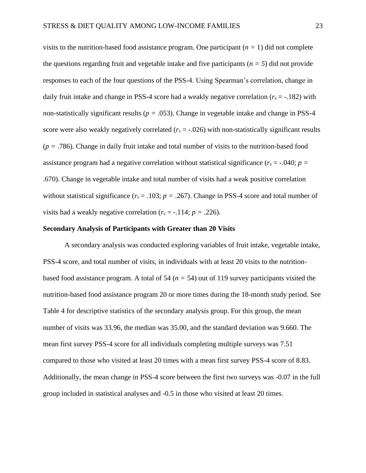visits to the nutrition-based food assistance program. One participant (*n =* 1) did not complete the questions regarding fruit and vegetable intake and five participants  $(n = 5)$  did not provide responses to each of the four questions of the PSS-4. Using Spearman's correlation, change in daily fruit intake and change in PSS-4 score had a weakly negative correlation ( $r_s = -182$ ) with non-statistically significant results (*p =* .053). Change in vegetable intake and change in PSS-4 score were also weakly negatively correlated  $(r_s = -0.026)$  with non-statistically significant results (*p =* .786). Change in daily fruit intake and total number of visits to the nutrition-based food assistance program had a negative correlation without statistical significance  $(r_s = -.040; p =$ .670). Change in vegetable intake and total number of visits had a weak positive correlation without statistical significance ( $r_s = .103$ ;  $p = .267$ ). Change in PSS-4 score and total number of visits had a weakly negative correlation  $(r_s = -.114; p = .226)$ .

#### **Secondary Analysis of Participants with Greater than 20 Visits**

A secondary analysis was conducted exploring variables of fruit intake, vegetable intake, PSS-4 score, and total number of visits, in individuals with at least 20 visits to the nutritionbased food assistance program. A total of 54 (*n =* 54) out of 119 survey participants visited the nutrition-based food assistance program 20 or more times during the 18-month study period. See Table 4 for descriptive statistics of the secondary analysis group. For this group, the mean number of visits was 33.96, the median was 35.00, and the standard deviation was 9.660. The mean first survey PSS-4 score for all individuals completing multiple surveys was 7.51 compared to those who visited at least 20 times with a mean first survey PSS-4 score of 8.83. Additionally, the mean change in PSS-4 score between the first two surveys was -0.07 in the full group included in statistical analyses and -0.5 in those who visited at least 20 times.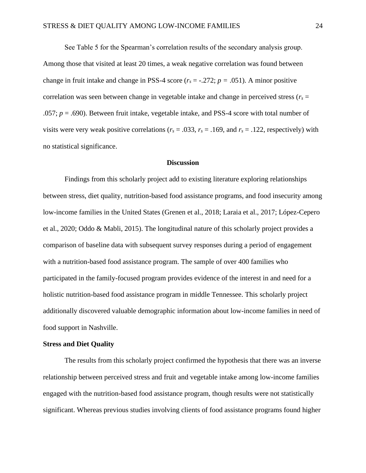See Table 5 for the Spearman's correlation results of the secondary analysis group. Among those that visited at least 20 times, a weak negative correlation was found between change in fruit intake and change in PSS-4 score ( $r_s = -0.272$ ;  $p = 0.051$ ). A minor positive correlation was seen between change in vegetable intake and change in perceived stress ( $r<sub>s</sub>$  = .057; *p* = .690). Between fruit intake, vegetable intake, and PSS-4 score with total number of visits were very weak positive correlations ( $r_s = .033$ ,  $r_s = .169$ , and  $r_s = .122$ , respectively) with no statistical significance.

#### **Discussion**

Findings from this scholarly project add to existing literature exploring relationships between stress, diet quality, nutrition-based food assistance programs, and food insecurity among low-income families in the United States (Grenen et al., 2018; Laraia et al., 2017; López-Cepero et al., 2020; Oddo & Mabli, 2015). The longitudinal nature of this scholarly project provides a comparison of baseline data with subsequent survey responses during a period of engagement with a nutrition-based food assistance program. The sample of over 400 families who participated in the family-focused program provides evidence of the interest in and need for a holistic nutrition-based food assistance program in middle Tennessee. This scholarly project additionally discovered valuable demographic information about low-income families in need of food support in Nashville.

#### **Stress and Diet Quality**

The results from this scholarly project confirmed the hypothesis that there was an inverse relationship between perceived stress and fruit and vegetable intake among low-income families engaged with the nutrition-based food assistance program, though results were not statistically significant. Whereas previous studies involving clients of food assistance programs found higher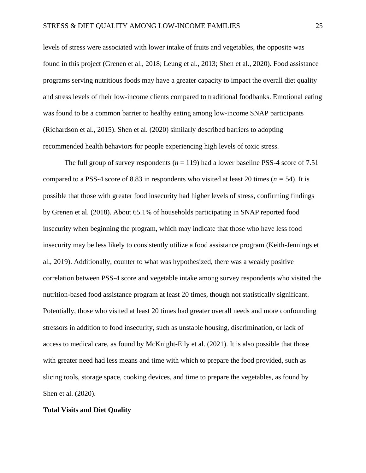levels of stress were associated with lower intake of fruits and vegetables, the opposite was found in this project (Grenen et al., 2018; Leung et al., 2013; Shen et al., 2020). Food assistance programs serving nutritious foods may have a greater capacity to impact the overall diet quality and stress levels of their low-income clients compared to traditional foodbanks. Emotional eating was found to be a common barrier to healthy eating among low-income SNAP participants (Richardson et al., 2015). Shen et al. (2020) similarly described barriers to adopting recommended health behaviors for people experiencing high levels of toxic stress.

The full group of survey respondents  $(n = 119)$  had a lower baseline PSS-4 score of 7.51 compared to a PSS-4 score of 8.83 in respondents who visited at least 20 times ( $n = 54$ ). It is possible that those with greater food insecurity had higher levels of stress, confirming findings by Grenen et al. (2018). About 65.1% of households participating in SNAP reported food insecurity when beginning the program, which may indicate that those who have less food insecurity may be less likely to consistently utilize a food assistance program (Keith-Jennings et al., 2019). Additionally, counter to what was hypothesized, there was a weakly positive correlation between PSS-4 score and vegetable intake among survey respondents who visited the nutrition-based food assistance program at least 20 times, though not statistically significant. Potentially, those who visited at least 20 times had greater overall needs and more confounding stressors in addition to food insecurity, such as unstable housing, discrimination, or lack of access to medical care, as found by McKnight-Eily et al. (2021). It is also possible that those with greater need had less means and time with which to prepare the food provided, such as slicing tools, storage space, cooking devices, and time to prepare the vegetables, as found by Shen et al. (2020).

#### **Total Visits and Diet Quality**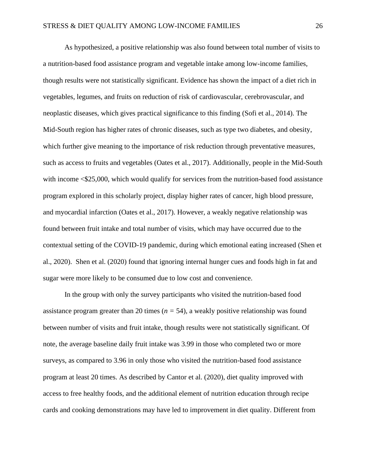As hypothesized, a positive relationship was also found between total number of visits to a nutrition-based food assistance program and vegetable intake among low-income families, though results were not statistically significant. Evidence has shown the impact of a diet rich in vegetables, legumes, and fruits on reduction of risk of cardiovascular, cerebrovascular, and neoplastic diseases, which gives practical significance to this finding (Sofi et al., 2014). The Mid-South region has higher rates of chronic diseases, such as type two diabetes, and obesity, which further give meaning to the importance of risk reduction through preventative measures, such as access to fruits and vegetables (Oates et al., 2017). Additionally, people in the Mid-South with income  $\leq 25,000$ , which would qualify for services from the nutrition-based food assistance program explored in this scholarly project, display higher rates of cancer, high blood pressure, and myocardial infarction (Oates et al., 2017). However, a weakly negative relationship was found between fruit intake and total number of visits, which may have occurred due to the contextual setting of the COVID-19 pandemic, during which emotional eating increased (Shen et al., 2020). Shen et al. (2020) found that ignoring internal hunger cues and foods high in fat and sugar were more likely to be consumed due to low cost and convenience.

In the group with only the survey participants who visited the nutrition-based food assistance program greater than 20 times  $(n = 54)$ , a weakly positive relationship was found between number of visits and fruit intake, though results were not statistically significant. Of note, the average baseline daily fruit intake was 3.99 in those who completed two or more surveys, as compared to 3.96 in only those who visited the nutrition-based food assistance program at least 20 times. As described by Cantor et al. (2020), diet quality improved with access to free healthy foods, and the additional element of nutrition education through recipe cards and cooking demonstrations may have led to improvement in diet quality. Different from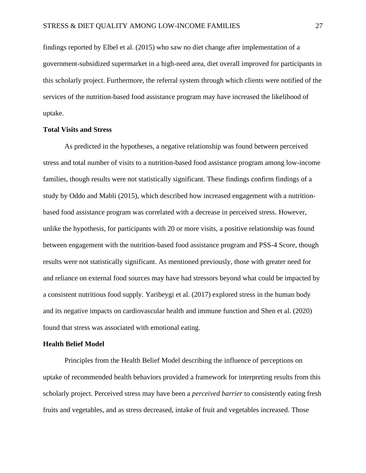findings reported by Elbel et al. (2015) who saw no diet change after implementation of a government-subsidized supermarket in a high-need area, diet overall improved for participants in this scholarly project. Furthermore, the referral system through which clients were notified of the services of the nutrition-based food assistance program may have increased the likelihood of uptake.

#### **Total Visits and Stress**

As predicted in the hypotheses, a negative relationship was found between perceived stress and total number of visits to a nutrition-based food assistance program among low-income families, though results were not statistically significant. These findings confirm findings of a study by Oddo and Mabli (2015), which described how increased engagement with a nutritionbased food assistance program was correlated with a decrease in perceived stress. However, unlike the hypothesis, for participants with 20 or more visits, a positive relationship was found between engagement with the nutrition-based food assistance program and PSS-4 Score, though results were not statistically significant. As mentioned previously, those with greater need for and reliance on external food sources may have had stressors beyond what could be impacted by a consistent nutritious food supply. Yaribeygi et al. (2017) explored stress in the human body and its negative impacts on cardiovascular health and immune function and Shen et al. (2020) found that stress was associated with emotional eating.

#### **Health Belief Model**

Principles from the Health Belief Model describing the influence of perceptions on uptake of recommended health behaviors provided a framework for interpreting results from this scholarly project. Perceived stress may have been a *perceived barrier* to consistently eating fresh fruits and vegetables, and as stress decreased, intake of fruit and vegetables increased. Those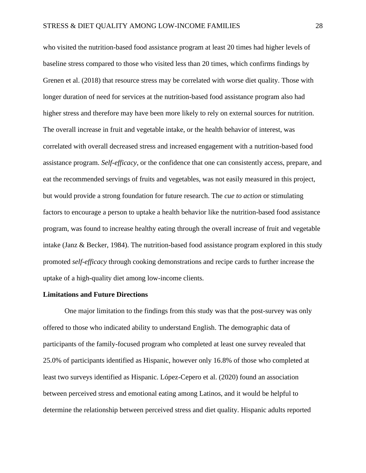who visited the nutrition-based food assistance program at least 20 times had higher levels of baseline stress compared to those who visited less than 20 times, which confirms findings by Grenen et al. (2018) that resource stress may be correlated with worse diet quality. Those with longer duration of need for services at the nutrition-based food assistance program also had higher stress and therefore may have been more likely to rely on external sources for nutrition. The overall increase in fruit and vegetable intake, or the health behavior of interest, was correlated with overall decreased stress and increased engagement with a nutrition-based food assistance program. *Self-efficacy*, or the confidence that one can consistently access, prepare, and eat the recommended servings of fruits and vegetables, was not easily measured in this project, but would provide a strong foundation for future research. The *cue to action* or stimulating factors to encourage a person to uptake a health behavior like the nutrition-based food assistance program, was found to increase healthy eating through the overall increase of fruit and vegetable intake (Janz & Becker, 1984). The nutrition-based food assistance program explored in this study promoted *self-efficacy* through cooking demonstrations and recipe cards to further increase the uptake of a high-quality diet among low-income clients.

#### **Limitations and Future Directions**

One major limitation to the findings from this study was that the post-survey was only offered to those who indicated ability to understand English. The demographic data of participants of the family-focused program who completed at least one survey revealed that 25.0% of participants identified as Hispanic, however only 16.8% of those who completed at least two surveys identified as Hispanic. López-Cepero et al. (2020) found an association between perceived stress and emotional eating among Latinos, and it would be helpful to determine the relationship between perceived stress and diet quality. Hispanic adults reported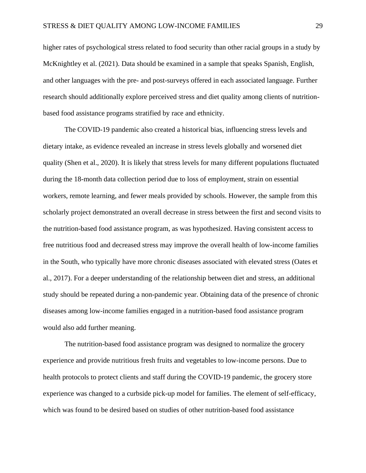higher rates of psychological stress related to food security than other racial groups in a study by McKnightley et al. (2021). Data should be examined in a sample that speaks Spanish, English, and other languages with the pre- and post-surveys offered in each associated language. Further research should additionally explore perceived stress and diet quality among clients of nutritionbased food assistance programs stratified by race and ethnicity.

The COVID-19 pandemic also created a historical bias, influencing stress levels and dietary intake, as evidence revealed an increase in stress levels globally and worsened diet quality (Shen et al., 2020). It is likely that stress levels for many different populations fluctuated during the 18-month data collection period due to loss of employment, strain on essential workers, remote learning, and fewer meals provided by schools. However, the sample from this scholarly project demonstrated an overall decrease in stress between the first and second visits to the nutrition-based food assistance program, as was hypothesized. Having consistent access to free nutritious food and decreased stress may improve the overall health of low-income families in the South, who typically have more chronic diseases associated with elevated stress (Oates et al., 2017). For a deeper understanding of the relationship between diet and stress, an additional study should be repeated during a non-pandemic year. Obtaining data of the presence of chronic diseases among low-income families engaged in a nutrition-based food assistance program would also add further meaning.

The nutrition-based food assistance program was designed to normalize the grocery experience and provide nutritious fresh fruits and vegetables to low-income persons. Due to health protocols to protect clients and staff during the COVID-19 pandemic, the grocery store experience was changed to a curbside pick-up model for families. The element of self-efficacy, which was found to be desired based on studies of other nutrition-based food assistance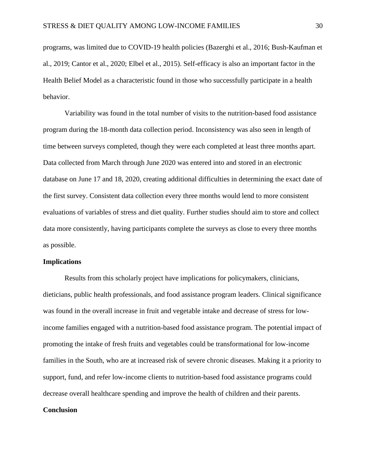programs, was limited due to COVID-19 health policies (Bazerghi et al., 2016; Bush-Kaufman et al., 2019; Cantor et al., 2020; Elbel et al., 2015). Self-efficacy is also an important factor in the Health Belief Model as a characteristic found in those who successfully participate in a health behavior.

Variability was found in the total number of visits to the nutrition-based food assistance program during the 18-month data collection period. Inconsistency was also seen in length of time between surveys completed, though they were each completed at least three months apart. Data collected from March through June 2020 was entered into and stored in an electronic database on June 17 and 18, 2020, creating additional difficulties in determining the exact date of the first survey. Consistent data collection every three months would lend to more consistent evaluations of variables of stress and diet quality. Further studies should aim to store and collect data more consistently, having participants complete the surveys as close to every three months as possible.

#### **Implications**

Results from this scholarly project have implications for policymakers, clinicians, dieticians, public health professionals, and food assistance program leaders. Clinical significance was found in the overall increase in fruit and vegetable intake and decrease of stress for lowincome families engaged with a nutrition-based food assistance program. The potential impact of promoting the intake of fresh fruits and vegetables could be transformational for low-income families in the South, who are at increased risk of severe chronic diseases. Making it a priority to support, fund, and refer low-income clients to nutrition-based food assistance programs could decrease overall healthcare spending and improve the health of children and their parents.

#### **Conclusion**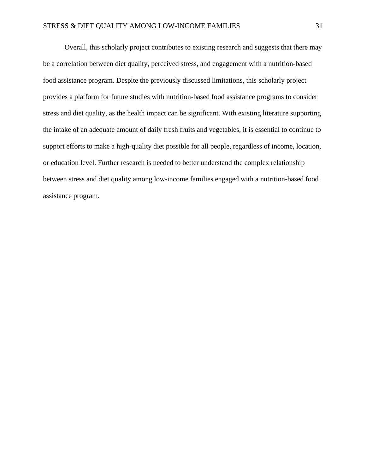Overall, this scholarly project contributes to existing research and suggests that there may be a correlation between diet quality, perceived stress, and engagement with a nutrition-based food assistance program. Despite the previously discussed limitations, this scholarly project provides a platform for future studies with nutrition-based food assistance programs to consider stress and diet quality, as the health impact can be significant. With existing literature supporting the intake of an adequate amount of daily fresh fruits and vegetables, it is essential to continue to support efforts to make a high-quality diet possible for all people, regardless of income, location, or education level. Further research is needed to better understand the complex relationship between stress and diet quality among low-income families engaged with a nutrition-based food assistance program.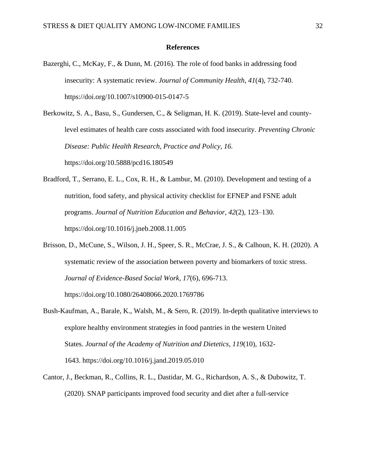#### **References**

Bazerghi, C., McKay, F., & Dunn, M. (2016). The role of food banks in addressing food insecurity: A systematic review. *Journal of Community Health*, *41*(4), 732-740. https://doi.org/10.1007/s10900-015-0147-5

Berkowitz, S. A., Basu, S., Gundersen, C., & Seligman, H. K. (2019). State-level and countylevel estimates of health care costs associated with food insecurity. *Preventing Chronic Disease: Public Health Research, Practice and Policy, 16.* https://doi.org/10.5888/pcd16.180549

- Bradford, T., Serrano, E. L., Cox, R. H., & Lambur, M. (2010). Development and testing of a nutrition, food safety, and physical activity checklist for EFNEP and FSNE adult programs. *Journal of Nutrition Education and Behavior*, *42*(2), 123–130. https://doi.org/10.1016/j.jneb.2008.11.005
- Brisson, D., McCune, S., Wilson, J. H., Speer, S. R., McCrae, J. S., & Calhoun, K. H. (2020). A systematic review of the association between poverty and biomarkers of toxic stress. *Journal of Evidence-Based Social Work, 17*(6), 696-713. https://doi.org/10.1080/26408066.2020.1769786
- Bush-Kaufman, A., Barale, K., Walsh, M., & Sero, R. (2019). In-depth qualitative interviews to explore healthy environment strategies in food pantries in the western United States. *Journal of the Academy of Nutrition and Dietetics*, *119*(10), 1632- 1643. <https://doi.org/10.1016/j.jand.2019.05.010>
- Cantor, J., Beckman, R., Collins, R. L., Dastidar, M. G., Richardson, A. S., & Dubowitz, T. (2020). SNAP participants improved food security and diet after a full-service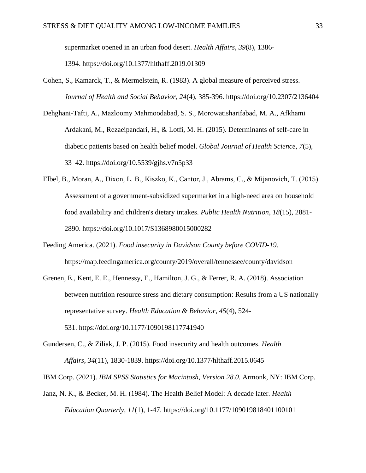supermarket opened in an urban food desert. *Health Affairs*, *39*(8), 1386-

1394. <https://doi.org/10.1377/hlthaff.2019.01309>

- Cohen, S., Kamarck, T., & Mermelstein, R. (1983). A global measure of perceived stress. *Journal of Health and Social Behavior, 24*(4), 385-396. [https://doi.org/10.2307/2136404](https://psycnet.apa.org/doi/10.2307/2136404)
- Dehghani-Tafti, A., Mazloomy Mahmoodabad, S. S., Morowatisharifabad, M. A., Afkhami Ardakani, M., Rezaeipandari, H., & Lotfi, M. H. (2015). Determinants of self-care in diabetic patients based on health belief model. *Global Journal of Health Science*, *7*(5), 33–42. https://doi.org/10.5539/gjhs.v7n5p33
- Elbel, B., Moran, A., Dixon, L. B., Kiszko, K., Cantor, J., Abrams, C., & Mijanovich, T. (2015). Assessment of a government-subsidized supermarket in a high-need area on household food availability and children's dietary intakes. *Public Health Nutrition*, *18*(15), 2881- 2890. <https://doi.org/10.1017/S1368980015000282>
- Feeding America. (2021). *Food insecurity in Davidson County before COVID-19.* https://map.feedingamerica.org/county/2019/overall/tennessee/county/davidson
- Grenen, E., Kent, E. E., Hennessy, E., Hamilton, J. G., & Ferrer, R. A. (2018). Association between nutrition resource stress and dietary consumption: Results from a US nationally representative survey. *Health Education & Behavior*, *45*(4), 524- 531. <https://doi.org/10.1177/1090198117741940>
- Gundersen, C., & Ziliak, J. P. (2015). Food insecurity and health outcomes. *Health Affairs*, *34*(11), 1830-1839. https://doi.org/10.1377/hlthaff.2015.0645

IBM Corp. (2021). *IBM SPSS Statistics for Macintosh, Version 28.0.* Armonk, NY: IBM Corp.

Janz, N. K., & Becker, M. H. (1984). The Health Belief Model: A decade later. *Health Education Quarterly, 11*(1), 1-47. https://doi.org/10.1177/109019818401100101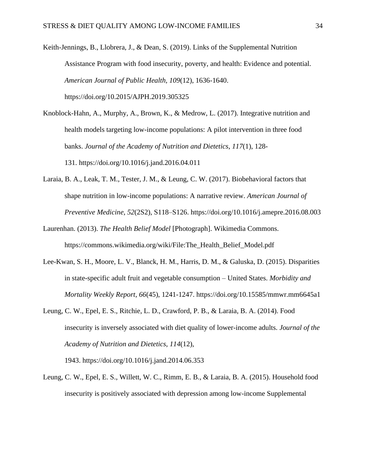Keith-Jennings, B., Llobrera, J., & Dean, S. (2019). Links of the Supplemental Nutrition Assistance Program with food insecurity, poverty, and health: Evidence and potential. *American Journal of Public Health, 109*(12), 1636-1640. https://doi.org/10.2015/AJPH.2019.305325

Knoblock-Hahn, A., Murphy, A., Brown, K., & Medrow, L. (2017). Integrative nutrition and health models targeting low-income populations: A pilot intervention in three food banks. *Journal of the Academy of Nutrition and Dietetics*, *117*(1), 128- 131. <https://doi.org/10.1016/j.jand.2016.04.011>

- Laraia, B. A., Leak, T. M., Tester, J. M., & Leung, C. W. (2017). Biobehavioral factors that shape nutrition in low-income populations: A narrative review. *American Journal of Preventive Medicine*, *52*(2S2), S118–S126. https://doi.org/10.1016/j.amepre.2016.08.003
- Laurenhan. (2013). *The Health Belief Model* [Photograph]. Wikimedia Commons. https://commons.wikimedia.org/wiki/File:The\_Health\_Belief\_Model.pdf
- Lee-Kwan, S. H., Moore, L. V., Blanck, H. M., Harris, D. M., & Galuska, D. (2015). Disparities in state-specific adult fruit and vegetable consumption – United States. *Morbidity and Mortality Weekly Report, 66*(45), 1241-1247. https://doi.org/10.15585/mmwr.mm6645a1
- Leung, C. W., Epel, E. S., Ritchie, L. D., Crawford, P. B., & Laraia, B. A. (2014). Food insecurity is inversely associated with diet quality of lower-income adults. *Journal of the Academy of Nutrition and Dietetics*, *114*(12),

1943. <https://doi.org/10.1016/j.jand.2014.06.353>

Leung, C. W., Epel, E. S., Willett, W. C., Rimm, E. B., & Laraia, B. A. (2015). Household food insecurity is positively associated with depression among low-income Supplemental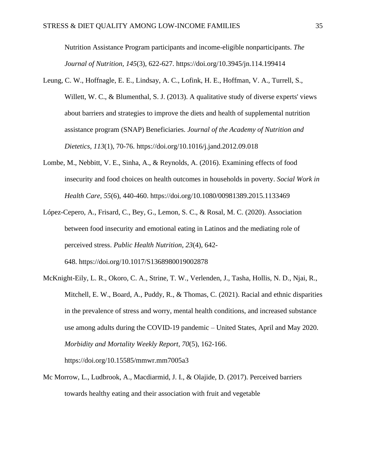Nutrition Assistance Program participants and income-eligible nonparticipants. *The Journal of Nutrition, 145*(3), 622-627. <https://doi.org/10.3945/jn.114.199414>

- Leung, C. W., Hoffnagle, E. E., Lindsay, A. C., Lofink, H. E., Hoffman, V. A., Turrell, S., Willett, W. C., & Blumenthal, S. J. (2013). A qualitative study of diverse experts' views about barriers and strategies to improve the diets and health of supplemental nutrition assistance program (SNAP) Beneficiaries. *Journal of the Academy of Nutrition and Dietetics*, *113*(1), 70-76. <https://doi.org/10.1016/j.jand.2012.09.018>
- Lombe, M., Nebbitt, V. E., Sinha, A., & Reynolds, A. (2016). Examining effects of food insecurity and food choices on health outcomes in households in poverty. *Social Work in Health Care, 55*(6), 440-460. https://doi.org/10.1080/00981389.2015.1133469
- López-Cepero, A., Frisard, C., Bey, G., Lemon, S. C., & Rosal, M. C. (2020). Association between food insecurity and emotional eating in Latinos and the mediating role of perceived stress. *Public Health Nutrition*, *23*(4), 642- 648. <https://doi.org/10.1017/S1368980019002878>
- McKnight-Eily, L. R., Okoro, C. A., Strine, T. W., Verlenden, J., Tasha, Hollis, N. D., Njai, R., Mitchell, E. W., Board, A., Puddy, R., & Thomas, C. (2021). Racial and ethnic disparities in the prevalence of stress and worry, mental health conditions, and increased substance use among adults during the COVID-19 pandemic – United States, April and May 2020. *Morbidity and Mortality Weekly Report, 70*(5), 162-166. https://doi.org/10.15585/mmwr.mm7005a3
- Mc Morrow, L., Ludbrook, A., Macdiarmid, J. I., & Olajide, D. (2017). Perceived barriers towards healthy eating and their association with fruit and vegetable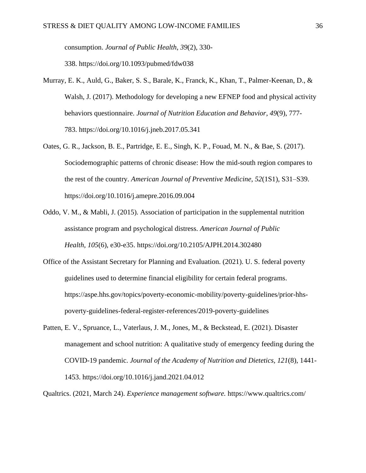consumption. *Journal of Public Health*, *39*(2), 330-

338. <https://doi.org/10.1093/pubmed/fdw038>

- Murray, E. K., Auld, G., Baker, S. S., Barale, K., Franck, K., Khan, T., Palmer-Keenan, D., & Walsh, J. (2017). Methodology for developing a new EFNEP food and physical activity behaviors questionnaire. *Journal of Nutrition Education and Behavior*, *49*(9), 777- 783. <https://doi.org/10.1016/j.jneb.2017.05.341>
- Oates, G. R., Jackson, B. E., Partridge, E. E., Singh, K. P., Fouad, M. N., & Bae, S. (2017). Sociodemographic patterns of chronic disease: How the mid-south region compares to the rest of the country. *American Journal of Preventive Medicine*, *52*(1S1), S31–S39. https://doi.org/10.1016/j.amepre.2016.09.004
- Oddo, V. M., & Mabli, J. (2015). Association of participation in the supplemental nutrition assistance program and psychological distress. *American Journal of Public Health*, *105*(6), e30-e35. <https://doi.org/10.2105/AJPH.2014.302480>
- Office of the Assistant Secretary for Planning and Evaluation. (2021). U. S. federal poverty guidelines used to determine financial eligibility for certain federal programs. https://aspe.hhs.gov/topics/poverty-economic-mobility/poverty-guidelines/prior-hhspoverty-guidelines-federal-register-references/2019-poverty-guidelines
- Patten, E. V., Spruance, L., Vaterlaus, J. M., Jones, M., & Beckstead, E. (2021). Disaster management and school nutrition: A qualitative study of emergency feeding during the COVID-19 pandemic. *Journal of the Academy of Nutrition and Dietetics, 121*(8), 1441- 1453. https://doi.org/10.1016/j.jand.2021.04.012

Qualtrics. (2021, March 24). *Experience management software.* https://www.qualtrics.com/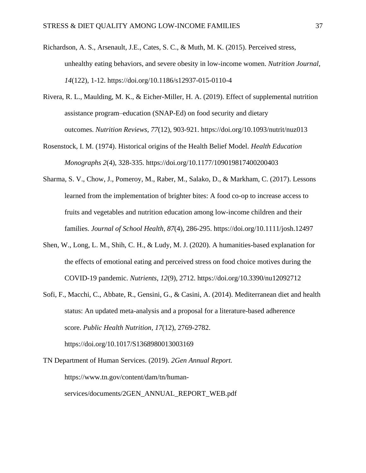- Richardson, A. S., Arsenault, J.E., Cates, S. C., & Muth, M. K. (2015). Perceived stress, unhealthy eating behaviors, and severe obesity in low-income women. *Nutrition Journal, 14*(122), 1-12. https://doi.org/10.1186/s12937-015-0110-4
- Rivera, R. L., Maulding, M. K., & Eicher-Miller, H. A. (2019). Effect of supplemental nutrition assistance program–education (SNAP-Ed) on food security and dietary outcomes. *Nutrition Reviews*, *77*(12), 903-921. <https://doi.org/10.1093/nutrit/nuz013>
- Rosenstock, I. M. (1974). Historical origins of the Health Belief Model. *Health Education Monographs 2*(4), 328-335. https://doi.or[g/10.1177/109019817400200403](https://journals.sagepub.com/doi/pdf/10.1177/109019817400200403?casa_token=yGzClyMSUPEAAAAA:aF2lkrRuX6aMMtxJXNHZYqA024vdhNk72X9nzXvZW0BA8PeFAI3ae2IUKvqIsxH3V83KmtyZseTJ)
- Sharma, S. V., Chow, J., Pomeroy, M., Raber, M., Salako, D., & Markham, C. (2017). Lessons learned from the implementation of brighter bites: A food co-op to increase access to fruits and vegetables and nutrition education among low-income children and their families. *Journal of School Health*, *87*(4), 286-295. <https://doi.org/10.1111/josh.12497>
- Shen, W., Long, L. M., Shih, C. H., & Ludy, M. J. (2020). A humanities-based explanation for the effects of emotional eating and perceived stress on food choice motives during the COVID-19 pandemic. *Nutrients*, *12*(9), 2712. https://doi.org/10.3390/nu12092712
- Sofi, F., Macchi, C., Abbate, R., Gensini, G., & Casini, A. (2014). Mediterranean diet and health status: An updated meta-analysis and a proposal for a literature-based adherence score. *Public Health Nutrition, 17*(12), 2769-2782. https://doi.org/10.1017/S1368980013003169
- TN Department of Human Services. (2019). *2Gen Annual Report.* https://www.tn.gov/content/dam/tn/humanservices/documents/2GEN\_ANNUAL\_REPORT\_WEB.pdf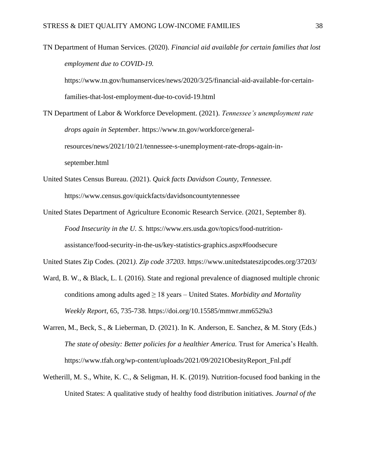TN Department of Human Services. (2020). *Financial aid available for certain families that lost employment due to COVID-19.*  https://www.tn.gov/humanservices/news/2020/3/25/financial-aid-available-for-certain-

families-that-lost-employment-due-to-covid-19.html

TN Department of Labor & Workforce Development. (2021). *Tennessee's unemployment rate drops again in September.* https://www.tn.gov/workforce/generalresources/news/2021/10/21/tennessee-s-unemployment-rate-drops-again-inseptember.html

- United States Census Bureau. (2021). *Quick facts Davidson County, Tennessee.*  https://www.census.gov/quickfacts/davidsoncountytennessee
- United States Department of Agriculture Economic Research Service. (2021, September 8). *Food Insecurity in the U. S.* https://www.ers.usda.gov/topics/food-nutritionassistance/food-security-in-the-us/key-statistics-graphics.aspx#foodsecure

United States Zip Codes. (2021*). Zip code 37203*.<https://www.unitedstateszipcodes.org/37203/>

- Ward, B. W., & Black, L. I. (2016). State and regional prevalence of diagnosed multiple chronic conditions among adults aged ≥ 18 years – United States. *Morbidity and Mortality Weekly Report*, 65, 735-738. https://doi.org/10.15585/mmwr.mm6529a3
- Warren, M., Beck, S., & Lieberman, D. (2021). In K. Anderson, E. Sanchez, & M. Story (Eds.) *The state of obesity: Better policies for a healthier America.* Trust for America's Health. https://www.tfah.org/wp-content/uploads/2021/09/2021ObesityReport\_Fnl.pdf
- Wetherill, M. S., White, K. C., & Seligman, H. K. (2019). Nutrition-focused food banking in the United States: A qualitative study of healthy food distribution initiatives. *Journal of the*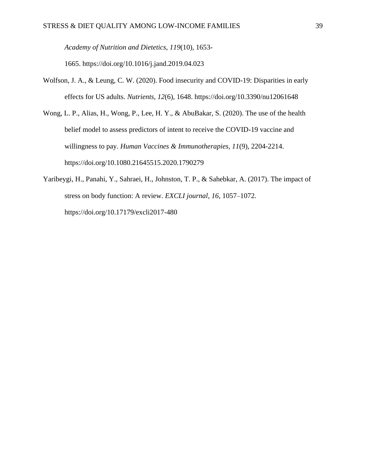*Academy of Nutrition and Dietetics*, *119*(10), 1653-

1665. <https://doi.org/10.1016/j.jand.2019.04.023>

- Wolfson, J. A., & Leung, C. W. (2020). Food insecurity and COVID-19: Disparities in early effects for US adults. *Nutrients, 12*(6), 1648.<https://doi.org/10.3390/nu12061648>
- Wong, L. P., Alias, H., Wong, P., Lee, H. Y., & AbuBakar, S. (2020). The use of the health belief model to assess predictors of intent to receive the COVID-19 vaccine and willingness to pay. *Human Vaccines & Immunotherapies, 11*(9), 2204-2214. https://doi.org/10.1080.21645515.2020.1790279
- Yaribeygi, H., Panahi, Y., Sahraei, H., Johnston, T. P., & Sahebkar, A. (2017). The impact of stress on body function: A review. *EXCLI journal*, *16*, 1057–1072. https://doi.org/10.17179/excli2017-480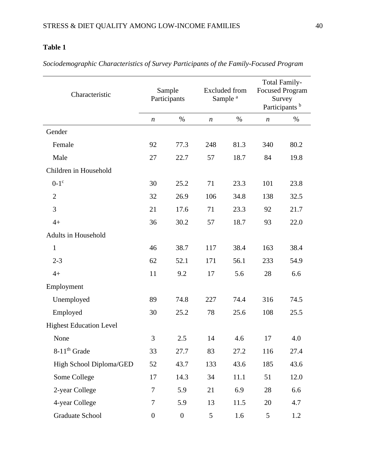## **Table 1**

Characteristic Sample **Participants** Excluded from Sample<sup>a</sup> Total Family-Focused Program Survey Participants<sup>b</sup> *n* % *n* % *n* % Gender Female 92 77.3 248 81.3 340 80.2 Male 27 22.7 57 18.7 84 19.8 Children in Household  $0-1$ <sup>c</sup> 30 25.2 71 23.3 101 23.8 2 32 26.9 106 34.8 138 32.5 3 21 17.6 71 23.3 92 21.7 4+ 36 30.2 57 18.7 93 22.0 Adults in Household 1 46 38.7 117 38.4 163 38.4 2-3 62 52.1 171 56.1 233 54.9 4+ 11 9.2 17 5.6 28 6.6 Employment Unemployed 89 74.8 227 74.4 316 74.5 Employed 30 25.2 78 25.6 108 25.5 Highest Education Level None 3 2.5 14 4.6 17 4.0 8-11<sup>th</sup> Grade 33 27.7 83 27.2 116 27.4 High School Diploma/GED 52 43.7 133 43.6 185 43.6 Some College 17 14.3 34 11.1 51 12.0 2-year College 23 1 5.9 21 6.9 28 6.6 4-year College 20 13 11.5 20 4.7 Graduate School 0 0 5 1.6 5 1.2

*Sociodemographic Characteristics of Survey Participants of the Family-Focused Program*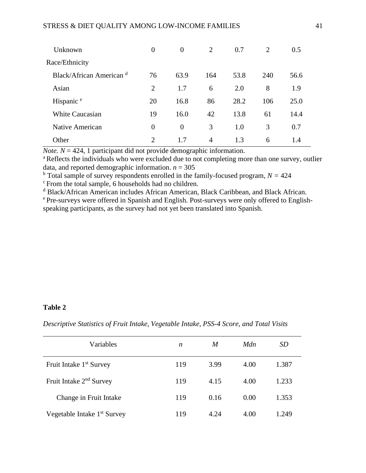| Unknown                  | $\overline{0}$ | $\overline{0}$ | 2   | 0.7  | 2   | 0.5  |  |
|--------------------------|----------------|----------------|-----|------|-----|------|--|
| Race/Ethnicity           |                |                |     |      |     |      |  |
| Black/African American d | 76             | 63.9           | 164 | 53.8 | 240 | 56.6 |  |
| Asian                    | $\overline{2}$ | 1.7            | 6   | 2.0  | 8   | 1.9  |  |
| Hispanic <sup>e</sup>    | 20             | 16.8           | 86  | 28.2 | 106 | 25.0 |  |
| <b>White Caucasian</b>   | 19             | 16.0           | 42  | 13.8 | 61  | 14.4 |  |
| Native American          | $\overline{0}$ | $\overline{0}$ | 3   | 1.0  | 3   | 0.7  |  |
| Other                    | $\overline{2}$ | 1.7            | 4   | 1.3  | 6   | 1.4  |  |

*Note.*  $N = 424$ , 1 participant did not provide demographic information.

<sup>a</sup>Reflects the individuals who were excluded due to not completing more than one survey, outlier data, and reported demographic information.  $n = 305$ 

<sup>b</sup> Total sample of survey respondents enrolled in the family-focused program,  $N = 424$ 

<sup>c</sup> From the total sample, 6 households had no children.

<sup>d</sup> Black/African American includes African American, Black Caribbean, and Black African.

<sup>e</sup> Pre-surveys were offered in Spanish and English. Post-surveys were only offered to Englishspeaking participants, as the survey had not yet been translated into Spanish.

#### **Table 2**

| Variables                               | n   | M    | Mdn  | <i>SD</i> |
|-----------------------------------------|-----|------|------|-----------|
| Fruit Intake 1 <sup>st</sup> Survey     | 119 | 3.99 | 4.00 | 1.387     |
| Fruit Intake 2 <sup>nd</sup> Survey     | 119 | 4.15 | 4.00 | 1.233     |
| Change in Fruit Intake                  | 119 | 0.16 | 0.00 | 1.353     |
| Vegetable Intake 1 <sup>st</sup> Survey | 119 | 4.24 | 4.00 | 1.249     |

*Descriptive Statistics of Fruit Intake, Vegetable Intake, PSS-4 Score, and Total Visits*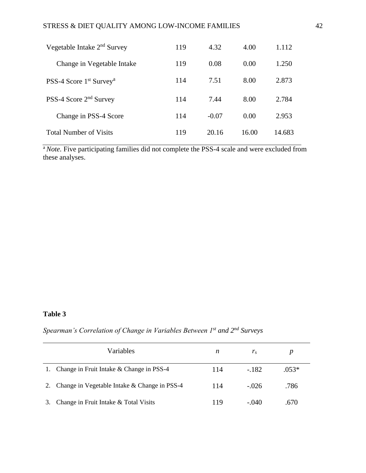| Vegetable Intake $2nd$ Survey         | 119 | 4.32    | 4.00  | 1.112  |
|---------------------------------------|-----|---------|-------|--------|
| Change in Vegetable Intake            | 119 | 0.08    | 0.00  | 1.250  |
| PSS-4 Score $1st$ Survey <sup>a</sup> | 114 | 7.51    | 8.00  | 2.873  |
| PSS-4 Score 2 <sup>nd</sup> Survey    | 114 | 7.44    | 8.00  | 2.784  |
| Change in PSS-4 Score                 | 114 | $-0.07$ | 0.00  | 2.953  |
| <b>Total Number of Visits</b>         | 119 | 20.16   | 16.00 | 14.683 |

<sup>a</sup>Note. Five participating families did not complete the PSS-4 scale and were excluded from these analyses.

## **Table 3**

## *Spearman's Correlation of Change in Variables Between 1st and 2nd Surveys*

|    | Variables                                    | n   | $r_{s}$ |         |
|----|----------------------------------------------|-----|---------|---------|
|    | 1. Change in Fruit Intake & Change in PSS-4  | 114 | $-182$  | $.053*$ |
| 2. | Change in Vegetable Intake & Change in PSS-4 | 114 | $-.026$ | .786    |
| 3. | Change in Fruit Intake & Total Visits        | 119 | $-.040$ | .670    |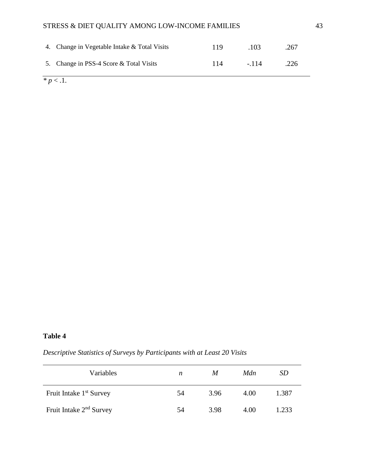| 4. Change in Vegetable Intake & Total Visits | 119 | .103   | .267 |
|----------------------------------------------|-----|--------|------|
| 5. Change in PSS-4 Score & Total Visits      | 114 | $-114$ | .226 |

 $p < 1$ .

## **Table 4**

*Descriptive Statistics of Surveys by Participants with at Least 20 Visits*

| Variables                           | n  | M    | Mdn  | SD    |
|-------------------------------------|----|------|------|-------|
| Fruit Intake 1 <sup>st</sup> Survey | 54 | 3.96 | 4.00 | 1.387 |
| Fruit Intake 2 <sup>nd</sup> Survey | 54 | 3.98 | 4.00 | 1.233 |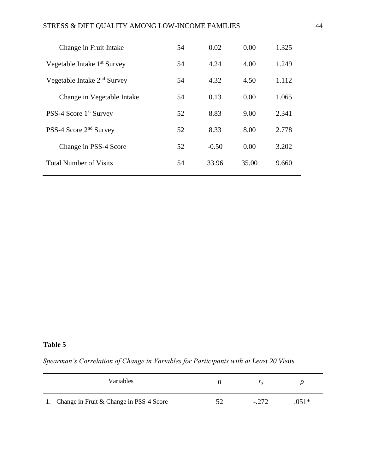## STRESS & DIET QUALITY AMONG LOW-INCOME FAMILIES 44

| Change in Fruit Intake                  | 54 | 0.02    | 0.00  | 1.325 |
|-----------------------------------------|----|---------|-------|-------|
| Vegetable Intake 1 <sup>st</sup> Survey | 54 | 4.24    | 4.00  | 1.249 |
| Vegetable Intake $2nd$ Survey           | 54 | 4.32    | 4.50  | 1.112 |
| Change in Vegetable Intake              | 54 | 0.13    | 0.00  | 1.065 |
| PSS-4 Score 1 <sup>st</sup> Survey      | 52 | 8.83    | 9.00  | 2.341 |
| PSS-4 Score 2 <sup>nd</sup> Survey      | 52 | 8.33    | 8.00  | 2.778 |
| Change in PSS-4 Score                   | 52 | $-0.50$ | 0.00  | 3.202 |
| <b>Total Number of Visits</b>           | 54 | 33.96   | 35.00 | 9.660 |
|                                         |    |         |       |       |

## **Table 5**

*Spearman's Correlation of Change in Variables for Participants with at Least 20 Visits*

| Variables                                  | n | $\overline{I}$ s |         |
|--------------------------------------------|---|------------------|---------|
| 1. Change in Fruit & Change in PSS-4 Score |   | $-.272$          | $.051*$ |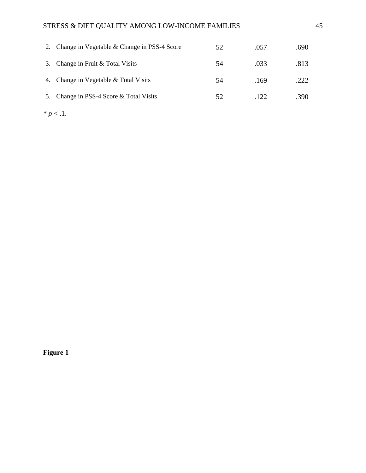## STRESS & DIET QUALITY AMONG LOW-INCOME FAMILIES 45

| 2. | Change in Vegetable & Change in PSS-4 Score | 52 | .057 | .690 |
|----|---------------------------------------------|----|------|------|
| 3. | Change in Fruit & Total Visits              | 54 | .033 | .813 |
| 4. | Change in Vegetable & Total Visits          | 54 | .169 | 222  |
| 5. | Change in PSS-4 Score & Total Visits        | 52 | .122 | .390 |

 $\overline{\cdot p}$   $\overline{p}$   $\overline{p}$   $\overline{p}$   $\overline{p}$ .

**Figure 1**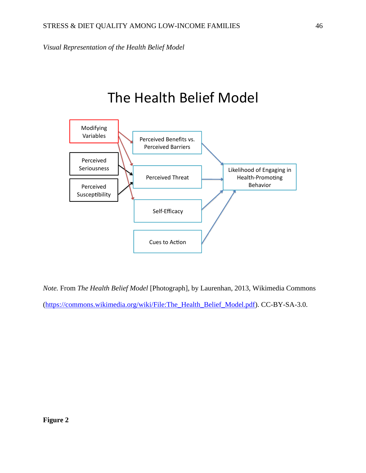*Visual Representation of the Health Belief Model*

# The Health Belief Model



*Note.* From *The Health Belief Model* [Photograph], by Laurenhan, 2013, Wikimedia Commons [\(https://commons.wikimedia.org/wiki/File:The\\_Health\\_Belief\\_Model.pdf\)](https://commons.wikimedia.org/wiki/File:The_Health_Belief_Model.pdf). CC-BY-SA-3.0.